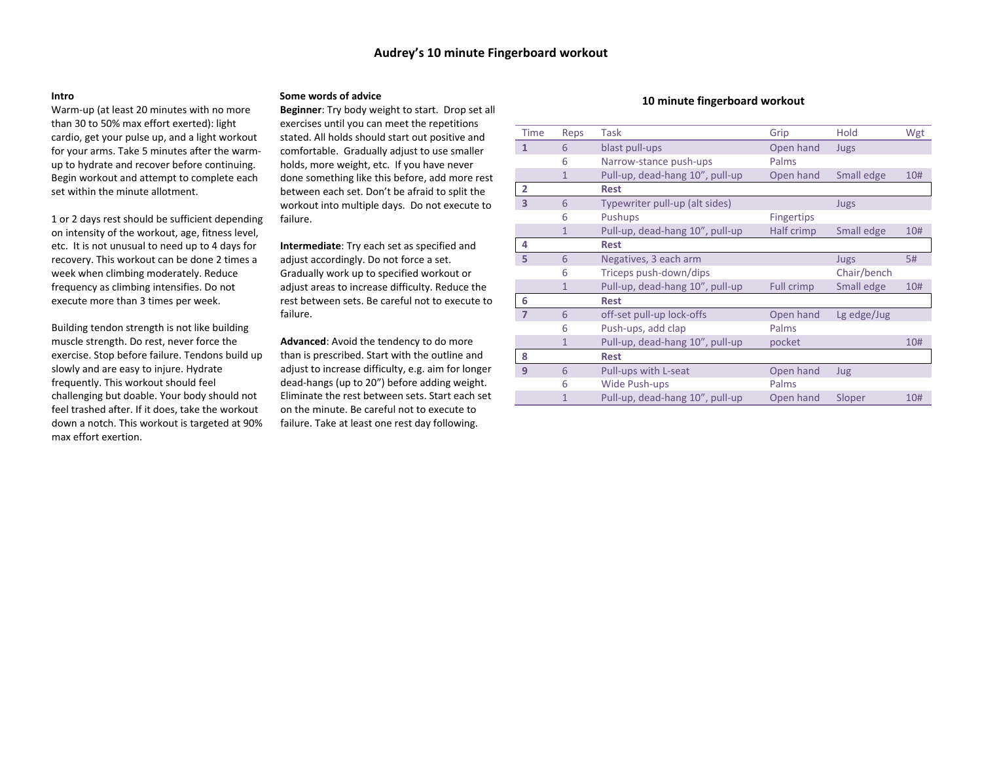#### **Intro**

Warm‐up (at least 20 minutes with no more than 30 to 50% max effort exerted): light cardio, get your pulse up, and <sup>a</sup> light workout for your arms. Take 5 minutes after the warm‐ up to hydrate and recover before continuing. Begin workout and attempt to complete each set within the minute allotment.

1 or 2 days rest should be sufficient depending on intensity of the workout, age, fitness level, etc. It is not unusual to need up to 4 days for recovery. This workout can be done 2 times <sup>a</sup> week when climbing moderately. Reduce frequency as climbing intensifies. Do not execute more than 3 times per week.

Building tendon strength is not like building muscle strength. Do rest, never force the exercise. Stop before failure. Tendons build up slowly and are easy to injure. Hydrate frequently. This workout should feel challenging but doable. Your body should not feel trashed after. If it does, take the workout down <sup>a</sup> notch. This workout is targeted at 90% max effort exertion.

## **Some words of advice**

**Beginner**: Try body weight to start. Drop set all exercises until you can meet the repetitions stated. All holds should start out positive and comfortable. Gradually adjust to use smaller holds, more weight, etc. If you have never done something like this before, add more rest between each set. Don't be afraid to split the workout into multiple days. Do not execute to failure.

**Intermediate**: Try each set as specified and adjust accordingly. Do not force <sup>a</sup> set. Gradually work up to specified workout or adjust areas to increase difficulty. Reduce the rest between sets. Be careful not to execute to failure.

**Advanced**: Avoid the tendency to do more than is prescribed. Start with the outline and adjust to increase difficulty, e.g. aim for longer dead‐hangs (up to 20") before adding weight. Eliminate the rest between sets. Start each set on the minute. Be careful not to execute to failure. Take at least one rest day following.

### **10 minute fingerboard workout**

| Time           | Reps           | Task                            | Grip              | Hold        | Wgt |
|----------------|----------------|---------------------------------|-------------------|-------------|-----|
| 1              | 6              | blast pull-ups                  | Open hand         | Jugs        |     |
|                | 6              | Narrow-stance push-ups          | Palms             |             |     |
|                | $\mathbf{1}$   | Pull-up, dead-hang 10", pull-up | Open hand         | Small edge  | 10# |
| $\overline{2}$ |                | <b>Rest</b>                     |                   |             |     |
| 3              | 6              | Typewriter pull-up (alt sides)  |                   | Jugs        |     |
|                | 6              | Pushups                         | <b>Fingertips</b> |             |     |
|                | $\mathbf{1}$   | Pull-up, dead-hang 10", pull-up | Half crimp        | Small edge  | 10# |
| 4              |                | <b>Rest</b>                     |                   |             |     |
| 5              | 6              | Negatives, 3 each arm           |                   | Jugs        | 5#  |
|                | 6              | Triceps push-down/dips          |                   | Chair/bench |     |
|                | $\overline{1}$ | Pull-up, dead-hang 10", pull-up | Full crimp        | Small edge  | 10# |
| 6              |                | <b>Rest</b>                     |                   |             |     |
| 7              | 6              | off-set pull-up lock-offs       | Open hand         | Lg edge/Jug |     |
|                | 6              | Push-ups, add clap              | Palms             |             |     |
|                | $\overline{1}$ | Pull-up, dead-hang 10", pull-up | pocket            |             | 10# |
| 8              |                | <b>Rest</b>                     |                   |             |     |
| 9              | 6              | Pull-ups with L-seat            | Open hand         | Jug         |     |
|                | 6              | <b>Wide Push-ups</b>            | Palms             |             |     |
|                | 1              | Pull-up, dead-hang 10", pull-up | Open hand         | Sloper      | 10# |